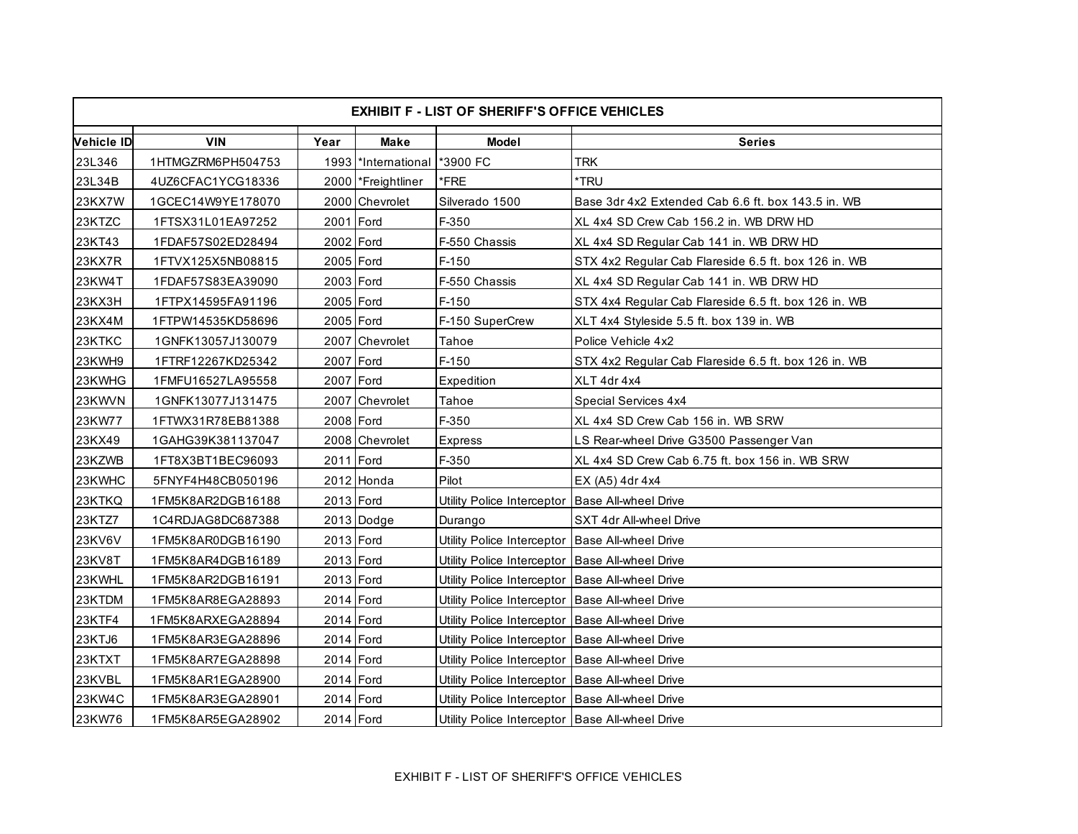| <b>EXHIBIT F - LIST OF SHERIFF'S OFFICE VEHICLES</b> |                   |           |                     |                                                   |                                                      |
|------------------------------------------------------|-------------------|-----------|---------------------|---------------------------------------------------|------------------------------------------------------|
| <b>Vehicle ID</b>                                    | <b>VIN</b>        | Year      | <b>Make</b>         | <b>Model</b>                                      | <b>Series</b>                                        |
| 23L346                                               | 1HTMGZRM6PH504753 |           | 1993 *International | *3900 FC                                          | <b>TRK</b>                                           |
| 23L34B                                               | 4UZ6CFAC1YCG18336 |           | 2000 Freightliner   | *FRE                                              | *TRU                                                 |
| 23KX7W                                               | 1GCEC14W9YE178070 |           | 2000 Chevrolet      | Silverado 1500                                    | Base 3dr 4x2 Extended Cab 6.6 ft. box 143.5 in. WB   |
| 23KTZC                                               | 1FTSX31L01EA97252 | 2001 Ford |                     | F-350                                             | XL 4x4 SD Crew Cab 156.2 in. WB DRW HD               |
| 23KT43                                               | 1FDAF57S02ED28494 | 2002 Ford |                     | F-550 Chassis                                     | XL 4x4 SD Regular Cab 141 in. WB DRW HD              |
| 23KX7R                                               | 1FTVX125X5NB08815 | 2005 Ford |                     | $F-150$                                           | STX 4x2 Regular Cab Flareside 6.5 ft. box 126 in. WB |
| 23KW4T                                               | 1FDAF57S83EA39090 | 2003 Ford |                     | F-550 Chassis                                     | XL 4x4 SD Regular Cab 141 in. WB DRW HD              |
| 23KX3H                                               | 1FTPX14595FA91196 | 2005 Ford |                     | $F-150$                                           | STX 4x4 Regular Cab Flareside 6.5 ft. box 126 in. WB |
| 23KX4M                                               | 1FTPW14535KD58696 | 2005 Ford |                     | F-150 SuperCrew                                   | XLT 4x4 Styleside 5.5 ft. box 139 in. WB             |
| 23KTKC                                               | 1GNFK13057J130079 |           | 2007 Chevrolet      | Tahoe                                             | Police Vehicle 4x2                                   |
| 23KWH9                                               | 1FTRF12267KD25342 | 2007 Ford |                     | $F-150$                                           | STX 4x2 Regular Cab Flareside 6.5 ft. box 126 in. WB |
| 23KWHG                                               | 1FMFU16527LA95558 | 2007 Ford |                     | Expedition                                        | XLT 4dr 4x4                                          |
| 23KWVN                                               | 1GNFK13077J131475 |           | 2007 Chevrolet      | Tahoe                                             | Special Services 4x4                                 |
| 23KW77                                               | 1FTWX31R78EB81388 | 2008 Ford |                     | F-350                                             | XL 4x4 SD Crew Cab 156 in. WB SRW                    |
| 23KX49                                               | 1GAHG39K381137047 |           | 2008 Chevrolet      | Express                                           | LS Rear-wheel Drive G3500 Passenger Van              |
| 23KZWB                                               | 1FT8X3BT1BEC96093 | 2011 Ford |                     | F-350                                             | XL 4x4 SD Crew Cab 6.75 ft. box 156 in. WB SRW       |
| 23KWHC                                               | 5FNYF4H48CB050196 |           | 2012 Honda          | Pilot                                             | EX (A5) 4dr 4x4                                      |
| 23KTKQ                                               | 1FM5K8AR2DGB16188 | 2013 Ford |                     | Utility Police Interceptor                        | <b>Base All-wheel Drive</b>                          |
| 23KTZ7                                               | 1C4RDJAG8DC687388 |           | 2013 Dodge          | Durango                                           | SXT 4dr All-wheel Drive                              |
| 23KV6V                                               | 1FM5K8AR0DGB16190 | 2013 Ford |                     | Utility Police Interceptor                        | <b>Base All-wheel Drive</b>                          |
| 23KV8T                                               | 1FM5K8AR4DGB16189 | 2013 Ford |                     | Utility Police Interceptor   Base All-wheel Drive |                                                      |
| 23KWHL                                               | 1FM5K8AR2DGB16191 | 2013 Ford |                     | Utility Police Interceptor                        | <b>Base All-wheel Drive</b>                          |
| 23KTDM                                               | 1FM5K8AR8EGA28893 | 2014 Ford |                     | Utility Police Interceptor                        | <b>Base All-wheel Drive</b>                          |
| 23KTF4                                               | 1FM5K8ARXEGA28894 | 2014 Ford |                     | Utility Police Interceptor                        | <b>Base All-wheel Drive</b>                          |
| 23KTJ6                                               | 1FM5K8AR3EGA28896 | 2014 Ford |                     | Utility Police Interceptor                        | <b>Base All-wheel Drive</b>                          |
| 23KTXT                                               | 1FM5K8AR7EGA28898 | 2014 Ford |                     | Utility Police Interceptor Base All-wheel Drive   |                                                      |
| 23KVBL                                               | 1FM5K8AR1EGA28900 | 2014 Ford |                     | Utility Police Interceptor   Base All-wheel Drive |                                                      |
| 23KW4C                                               | 1FM5K8AR3EGA28901 | 2014 Ford |                     | Utility Police Interceptor Base All-wheel Drive   |                                                      |
| 23KW76                                               | 1FM5K8AR5EGA28902 | 2014 Ford |                     | Utility Police Interceptor   Base All-wheel Drive |                                                      |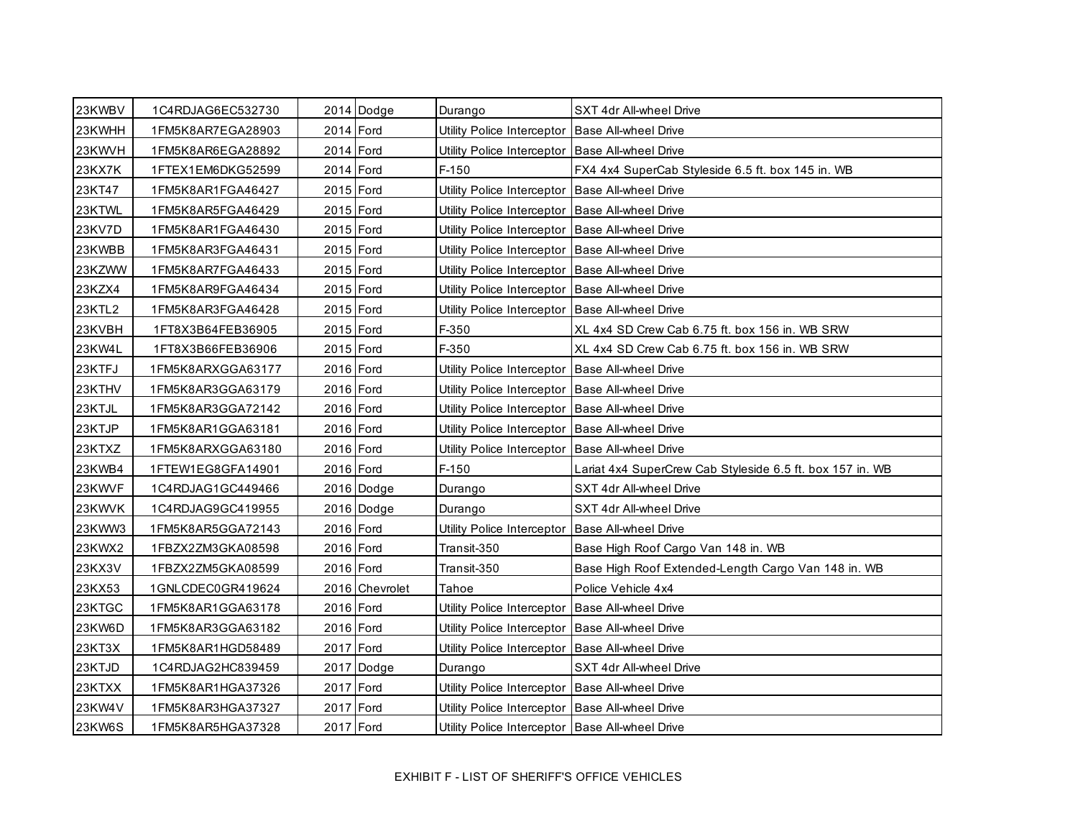| 23KWBV        | 1C4RDJAG6EC532730 |           | 2014 Dodge     | Durango                                           | SXT 4dr All-wheel Drive                                   |
|---------------|-------------------|-----------|----------------|---------------------------------------------------|-----------------------------------------------------------|
| 23KWHH        | 1FM5K8AR7EGA28903 | 2014 Ford |                | Utility Police Interceptor   Base All-wheel Drive |                                                           |
| 23KWVH        | 1FM5K8AR6EGA28892 | 2014 Ford |                | Utility Police Interceptor  Base All-wheel Drive  |                                                           |
| <b>23KX7K</b> | 1FTEX1EM6DKG52599 | 2014 Ford |                | $F-150$                                           | FX4 4x4 SuperCab Styleside 6.5 ft. box 145 in. WB         |
| 23KT47        | 1FM5K8AR1FGA46427 | 2015 Ford |                | Utility Police Interceptor Base All-wheel Drive   |                                                           |
| 23KTWL        | 1FM5K8AR5FGA46429 | 2015 Ford |                | Utility Police Interceptor Base All-wheel Drive   |                                                           |
| 23KV7D        | 1FM5K8AR1FGA46430 | 2015 Ford |                | Utility Police Interceptor                        | <b>Base All-wheel Drive</b>                               |
| 23KWBB        | 1FM5K8AR3FGA46431 | 2015 Ford |                | Utility Police Interceptor   Base All-wheel Drive |                                                           |
| 23KZWW        | 1FM5K8AR7FGA46433 | 2015 Ford |                | Utility Police Interceptor Base All-wheel Drive   |                                                           |
| 23KZX4        | 1FM5K8AR9FGA46434 | 2015 Ford |                | Utility Police Interceptor Base All-wheel Drive   |                                                           |
| 23KTL2        | 1FM5K8AR3FGA46428 | 2015 Ford |                | Utility Police Interceptor   Base All-wheel Drive |                                                           |
| 23KVBH        | 1FT8X3B64FEB36905 | 2015 Ford |                | F-350                                             | XL 4x4 SD Crew Cab 6.75 ft. box 156 in. WB SRW            |
| 23KW4L        | 1FT8X3B66FEB36906 | 2015 Ford |                | F-350                                             | XL 4x4 SD Crew Cab 6.75 ft. box 156 in. WB SRW            |
| 23KTFJ        | 1FM5K8ARXGGA63177 | 2016 Ford |                | Utility Police Interceptor   Base All-wheel Drive |                                                           |
| 23KTHV        | 1FM5K8AR3GGA63179 | 2016 Ford |                | Utility Police Interceptor  Base All-wheel Drive  |                                                           |
| 23KTJL        | 1FM5K8AR3GGA72142 | 2016 Ford |                | Utility Police Interceptor Base All-wheel Drive   |                                                           |
| 23KTJP        | 1FM5K8AR1GGA63181 | 2016 Ford |                | Utility Police Interceptor Base All-wheel Drive   |                                                           |
| 23KTXZ        | 1FM5K8ARXGGA63180 | 2016 Ford |                | Utility Police Interceptor Base All-wheel Drive   |                                                           |
| 23KWB4        | 1FTEW1EG8GFA14901 | 2016 Ford |                | $F-150$                                           | Lariat 4x4 SuperCrew Cab Styleside 6.5 ft. box 157 in. WB |
| 23KWVF        | 1C4RDJAG1GC449466 |           | 2016 Dodge     | Durango                                           | SXT 4dr All-wheel Drive                                   |
| 23KWVK        | 1C4RDJAG9GC419955 |           | 2016 Dodge     | Durango                                           | SXT 4dr All-wheel Drive                                   |
| 23KWW3        | 1FM5K8AR5GGA72143 | 2016 Ford |                | Utility Police Interceptor                        | <b>Base All-wheel Drive</b>                               |
| 23KWX2        | 1FBZX2ZM3GKA08598 | 2016 Ford |                | Transit-350                                       | Base High Roof Cargo Van 148 in. WB                       |
| 23KX3V        | 1FBZX2ZM5GKA08599 | 2016 Ford |                | Transit-350                                       | Base High Roof Extended-Length Cargo Van 148 in. WB       |
| 23KX53        | 1GNLCDEC0GR419624 |           | 2016 Chevrolet | Tahoe                                             | Police Vehicle 4x4                                        |
| 23KTGC        | 1FM5K8AR1GGA63178 | 2016 Ford |                | Utility Police Interceptor                        | <b>Base All-wheel Drive</b>                               |
| 23KW6D        | 1FM5K8AR3GGA63182 | 2016 Ford |                | Utility Police Interceptor   Base All-wheel Drive |                                                           |
| 23KT3X        | 1FM5K8AR1HGD58489 | 2017 Ford |                | Utility Police Interceptor                        | <b>Base All-wheel Drive</b>                               |
| 23KTJD        | 1C4RDJAG2HC839459 |           | 2017 Dodge     | Durango                                           | SXT 4dr All-wheel Drive                                   |
| 23KTXX        | 1FM5K8AR1HGA37326 | 2017 Ford |                | Utility Police Interceptor   Base All-wheel Drive |                                                           |
| 23KW4V        | 1FM5K8AR3HGA37327 | 2017 Ford |                | Utility Police Interceptor   Base All-wheel Drive |                                                           |
| 23KW6S        | 1FM5K8AR5HGA37328 | 2017 Ford |                | Utility Police Interceptor Base All-wheel Drive   |                                                           |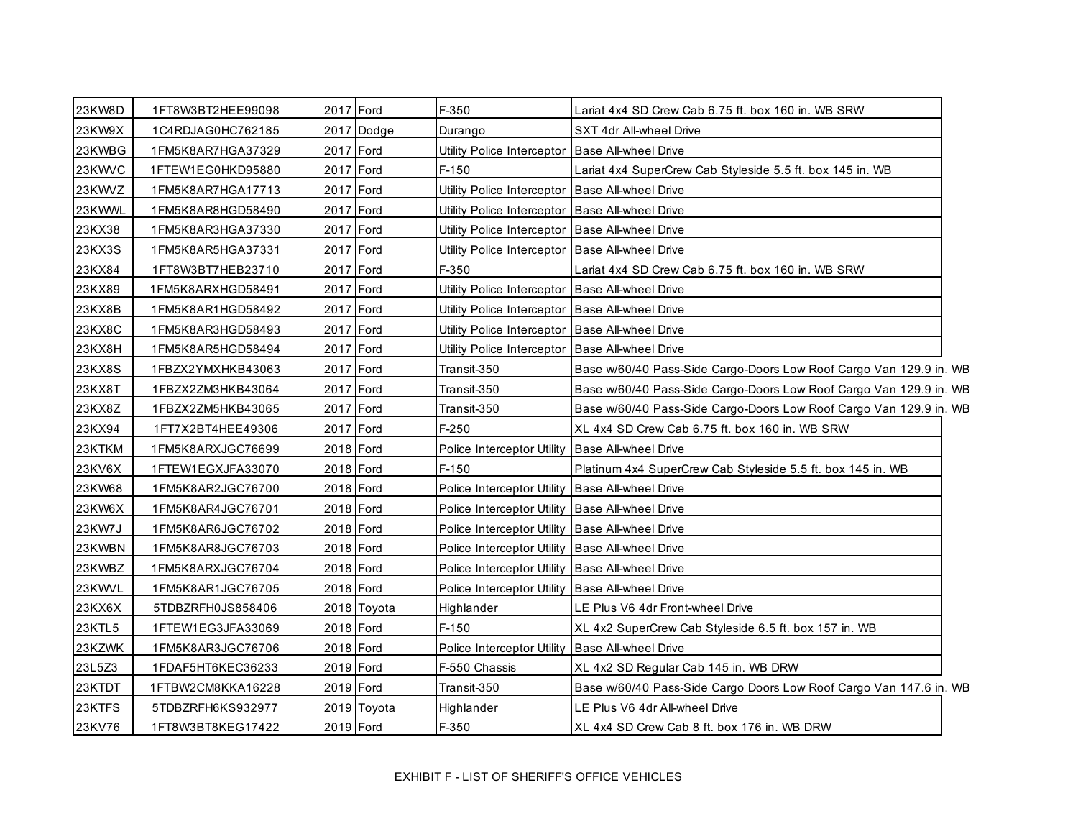| 23KW8D        | 1FT8W3BT2HEE99098 | 2017 Ford |             | F-350                                             | Lariat 4x4 SD Crew Cab 6.75 ft. box 160 in. WB SRW                 |
|---------------|-------------------|-----------|-------------|---------------------------------------------------|--------------------------------------------------------------------|
| 23KW9X        | 1C4RDJAG0HC762185 |           | 2017 Dodge  | Durango                                           | SXT 4dr All-wheel Drive                                            |
| 23KWBG        | 1FM5K8AR7HGA37329 | 2017 Ford |             | Utility Police Interceptor   Base All-wheel Drive |                                                                    |
| 23KWVC        | 1FTEW1EG0HKD95880 | 2017 Ford |             | $F-150$                                           | Lariat 4x4 SuperCrew Cab Styleside 5.5 ft. box 145 in. WB          |
| 23KWVZ        | 1FM5K8AR7HGA17713 | 2017 Ford |             | Utility Police Interceptor Base All-wheel Drive   |                                                                    |
| 23KWWL        | 1FM5K8AR8HGD58490 | 2017 Ford |             | Utility Police Interceptor Base All-wheel Drive   |                                                                    |
| 23KX38        | 1FM5K8AR3HGA37330 | 2017 Ford |             | Utility Police Interceptor Base All-wheel Drive   |                                                                    |
| 23KX3S        | 1FM5K8AR5HGA37331 | 2017 Ford |             | Utility Police Interceptor Base All-wheel Drive   |                                                                    |
| 23KX84        | 1FT8W3BT7HEB23710 | 2017 Ford |             | F-350                                             | Lariat 4x4 SD Crew Cab 6.75 ft. box 160 in. WB SRW                 |
| 23KX89        | 1FM5K8ARXHGD58491 | 2017 Ford |             | Utility Police Interceptor Base All-wheel Drive   |                                                                    |
| 23KX8B        | 1FM5K8AR1HGD58492 | 2017 Ford |             | Utility Police Interceptor Base All-wheel Drive   |                                                                    |
| <b>23KX8C</b> | 1FM5K8AR3HGD58493 | 2017 Ford |             | Utility Police Interceptor Base All-wheel Drive   |                                                                    |
| 23KX8H        | 1FM5K8AR5HGD58494 | 2017 Ford |             | Utility Police Interceptor Base All-wheel Drive   |                                                                    |
| 23KX8S        | 1FBZX2YMXHKB43063 | 2017 Ford |             | Transit-350                                       | Base w/60/40 Pass-Side Cargo-Doors Low Roof Cargo Van 129.9 in. WB |
| 23KX8T        | 1FBZX2ZM3HKB43064 | 2017 Ford |             | Transit-350                                       | Base w/60/40 Pass-Side Cargo-Doors Low Roof Cargo Van 129.9 in. WB |
| 23KX8Z        | 1FBZX2ZM5HKB43065 | 2017 Ford |             | Transit-350                                       | Base w/60/40 Pass-Side Cargo-Doors Low Roof Cargo Van 129.9 in. WB |
| 23KX94        | 1FT7X2BT4HEE49306 | 2017 Ford |             | $F-250$                                           | XL 4x4 SD Crew Cab 6.75 ft. box 160 in. WB SRW                     |
| 23KTKM        | 1FM5K8ARXJGC76699 | 2018 Ford |             | Police Interceptor Utility   Base All-wheel Drive |                                                                    |
| 23KV6X        | 1FTEW1EGXJFA33070 | 2018 Ford |             | $F-150$                                           | Platinum 4x4 SuperCrew Cab Styleside 5.5 ft. box 145 in. WB        |
| 23KW68        | 1FM5K8AR2JGC76700 | 2018 Ford |             | Police Interceptor Utility Base All-wheel Drive   |                                                                    |
| 23KW6X        | 1FM5K8AR4JGC76701 | 2018 Ford |             | Police Interceptor Utility Base All-wheel Drive   |                                                                    |
| 23KW7J        | 1FM5K8AR6JGC76702 | 2018 Ford |             | Police Interceptor Utility   Base All-wheel Drive |                                                                    |
| 23KWBN        | 1FM5K8AR8JGC76703 | 2018 Ford |             | Police Interceptor Utility Base All-wheel Drive   |                                                                    |
| 23KWBZ        | 1FM5K8ARXJGC76704 | 2018 Ford |             | Police Interceptor Utility Base All-wheel Drive   |                                                                    |
| 23KWVL        | 1FM5K8AR1JGC76705 | 2018 Ford |             | Police Interceptor Utility Base All-wheel Drive   |                                                                    |
| 23KX6X        | 5TDBZRFH0JS858406 |           | 2018 Toyota | Highlander                                        | LE Plus V6 4dr Front-wheel Drive                                   |
| 23KTL5        | 1FTEW1EG3JFA33069 | 2018 Ford |             | $F-150$                                           | XL 4x2 SuperCrew Cab Styleside 6.5 ft. box 157 in. WB              |
| 23KZWK        | 1FM5K8AR3JGC76706 | 2018 Ford |             | Police Interceptor Utility                        | <b>Base All-wheel Drive</b>                                        |
| 23L5Z3        | 1FDAF5HT6KEC36233 | 2019 Ford |             | F-550 Chassis                                     | XL 4x2 SD Regular Cab 145 in. WB DRW                               |
| 23KTDT        | 1FTBW2CM8KKA16228 | 2019 Ford |             | Transit-350                                       | Base w/60/40 Pass-Side Cargo Doors Low Roof Cargo Van 147.6 in. WB |
| 23KTFS        | 5TDBZRFH6KS932977 |           | 2019 Toyota | Highlander                                        | LE Plus V6 4dr All-wheel Drive                                     |
| 23KV76        | 1FT8W3BT8KEG17422 | 2019 Ford |             | F-350                                             | XL 4x4 SD Crew Cab 8 ft. box 176 in. WB DRW                        |